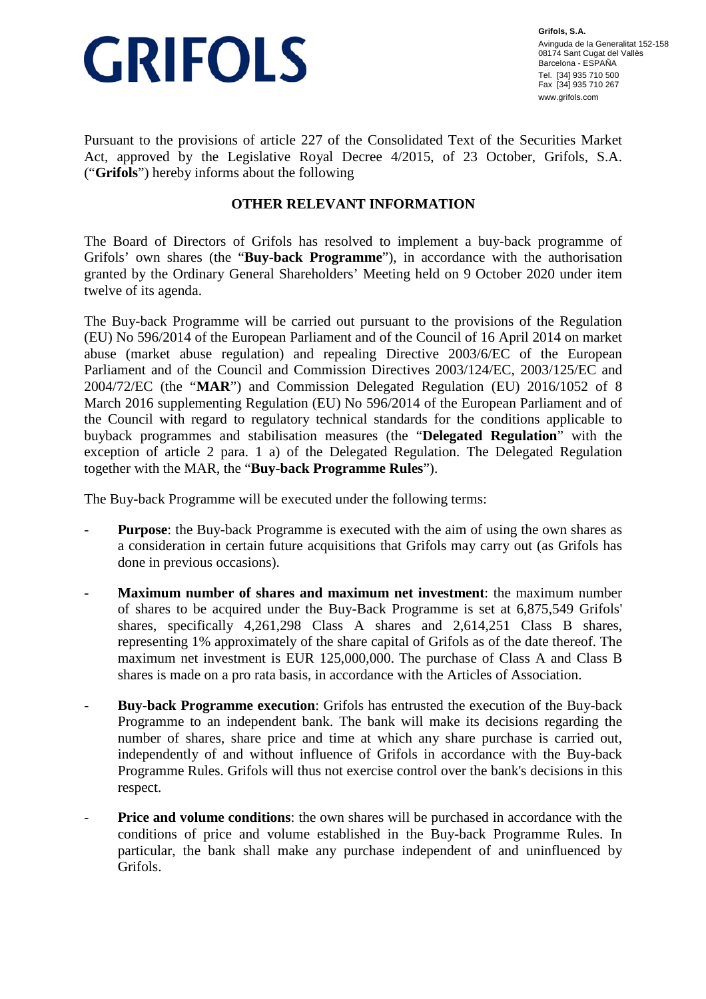

**Grifols, S.A.**  Avinguda de la Generalitat 152-158 08174 Sant Cugat del Vallès Barcelona - ESPAÑA Tel. [34] 935 710 500 Fax [34] 935 710 267 www.grifols.com

Pursuant to the provisions of article 227 of the Consolidated Text of the Securities Market Act, approved by the Legislative Royal Decree 4/2015, of 23 October, Grifols, S.A. ("**Grifols**") hereby informs about the following

## **OTHER RELEVANT INFORMATION**

The Board of Directors of Grifols has resolved to implement a buy-back programme of Grifols' own shares (the "**Buy-back Programme**"), in accordance with the authorisation granted by the Ordinary General Shareholders' Meeting held on 9 October 2020 under item twelve of its agenda.

The Buy-back Programme will be carried out pursuant to the provisions of the Regulation (EU) No 596/2014 of the European Parliament and of the Council of 16 April 2014 on market abuse (market abuse regulation) and repealing Directive 2003/6/EC of the European Parliament and of the Council and Commission Directives 2003/124/EC, 2003/125/EC and 2004/72/EC (the "**MAR**") and Commission Delegated Regulation (EU) 2016/1052 of 8 March 2016 supplementing Regulation (EU) No 596/2014 of the European Parliament and of the Council with regard to regulatory technical standards for the conditions applicable to buyback programmes and stabilisation measures (the "**Delegated Regulation**" with the exception of article 2 para. 1 a) of the Delegated Regulation. The Delegated Regulation together with the MAR, the "**Buy-back Programme Rules**").

The Buy-back Programme will be executed under the following terms:

- **Purpose**: the Buy-back Programme is executed with the aim of using the own shares as a consideration in certain future acquisitions that Grifols may carry out (as Grifols has done in previous occasions).
- **Maximum number of shares and maximum net investment**: the maximum number of shares to be acquired under the Buy-Back Programme is set at 6,875,549 Grifols' shares, specifically 4,261,298 Class A shares and 2,614,251 Class B shares, representing 1% approximately of the share capital of Grifols as of the date thereof. The maximum net investment is EUR 125,000,000. The purchase of Class A and Class B shares is made on a pro rata basis, in accordance with the Articles of Association.
- **Buy-back Programme execution**: Grifols has entrusted the execution of the Buy-back Programme to an independent bank. The bank will make its decisions regarding the number of shares, share price and time at which any share purchase is carried out, independently of and without influence of Grifols in accordance with the Buy-back Programme Rules. Grifols will thus not exercise control over the bank's decisions in this respect.
- **Price and volume conditions:** the own shares will be purchased in accordance with the conditions of price and volume established in the Buy-back Programme Rules. In particular, the bank shall make any purchase independent of and uninfluenced by Grifols.